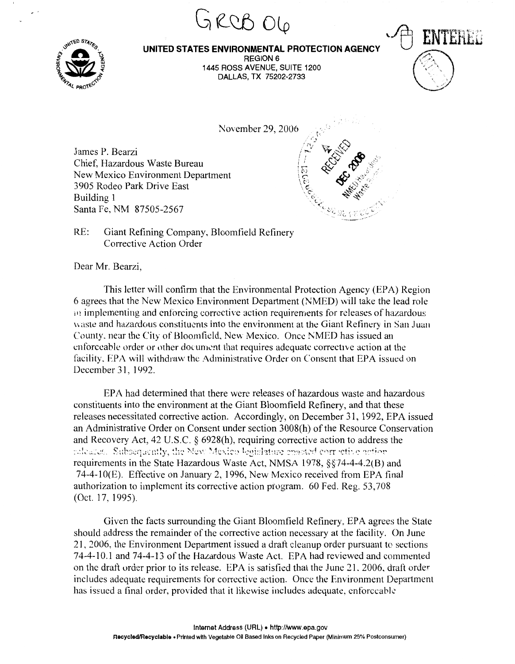

, '

## **UNITED STATES ENVIRONMENTAL PROTECTION AGENCY**

GRCB OG

 $\tt FNTERE$ 

 $\iff$  )

. . .  $\sqrt{2}$ /

 $\cdot$   $\cdot$   $\cdot$ 

 $\mathbb{S}$  ,  $\langle \cdot \rangle$ 

REGION 6 1445 ROSS AVENUE, SUITE 1200 DALLAS, TX 75202-2733

November 29, 2006

James P. Bearzi Chief, Hazardous Waste Bureau New Mexico Environment Department 3905 Rodeo Park Drive East Building 1 Santa Fe, NM 87505-2567

RE: Giant Refining Company, Bloomfield Refinery Corrective Action Order

Dear Mr. Bearzi,

This letter will confirm that the Environmental Protection Agency (EPA) Region 6 agrees that the New Mexico Environment Department (NMED) will take the lead role  $\dot{p}$  implementing and enforcing corrective action requirements for releases of hazardous waste and hazardous constituents into the environment at the Giant Refinery in San Juan County. near the City of Bloomfield, New Mexico. Once NMED has issued an enforceable order or other document that requires adequate corrective action at the facility. EPA will withdraw the Administrative Order on Consent that EPA issued on December 31, 1992.

EPA had determined that there were releases of hazardous waste and hazardous constituents into the environment at the Giant Bloomfield Refinery, and that these releases necessitated corrective action. Accordingly, on December 31, 1992, EPA issued an Administrative Order on Consent under section 3008(h) of the Resource Conservation and Recovery Act, 42 U.S.C. § 6928(h), requiring corrective action to address the releases. Subsequently, the New Mexico begislature consted corrietive action requirements in the State Hazardous Waste Act, NMSA 1978, §§14-4-4.2(8) and 74-4-1 0(E). Effective on January 2, 1996, New Mexico received from EPA final authorization to implement its corrective action ptogram. 60 Fed. Reg. 53,708 (Oct. 17, 1995).

Given the facts surrounding the Giant Bloomfield Refinery, EPA agrees the State should address the remainder of the corrective action necessary at the facility. On June 21, 2006, the Environment Department issued a draft cleanup order pursuant to sections 74-4-10.1 and 74-4-13 of the Hazardous Waste Act. EPA had reviewed and commented on the draft order prior to its release. EPA is satisfied that the June 21. 2006, draft order includes adequate requirements for corrective action. Once the Environment Department has issued a final order, provided that it likewise includes adequate, enforceable